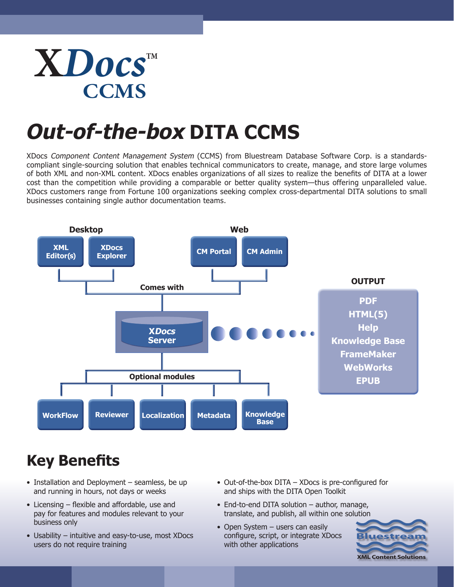## **X***Docs* **CCMS TM**

# **Out-of-the-box DITA CCMS**

XDocs Component Content Management System (CCMS) from Bluestream Database Software Corp. is a standardscompliant single-sourcing solution that enables technical communicators to create, manage, and store large volumes of both XML and non-XML content. XDocs enables organizations of all sizes to realize the benefits of DITA at a lower cost than the competition while providing a comparable or better quality system—thus offering unparalleled value. XDocs customers range from Fortune 100 organizations seeking complex cross-departmental DITA solutions to small businesses containing single author documentation teams.



## **Key Benefits**

- Installation and Deployment seamless, be up and running in hours, not days or weeks
- Licensing flexible and affordable, use and pay for features and modules relevant to your business only
- Usability intuitive and easy-to-use, most XDocs users do not require training
- Out-of-the-box DITA XDocs is pre-configured for and ships with the DITA Open Toolkit
- End-to-end DITA solution author, manage, translate, and publish, all within one solution
- Open System users can easily configure, script, or integrate XDocs with other applications